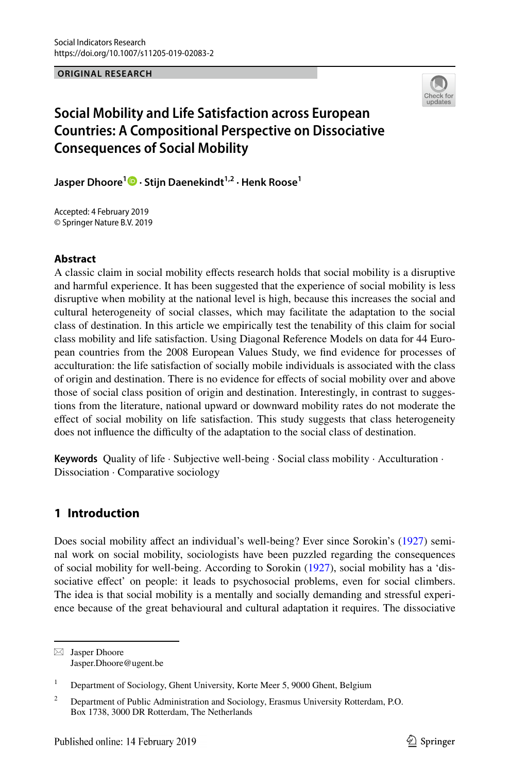**ORIGINAL RESEARCH**



# **Social Mobility and Life Satisfaction across European Countries: A Compositional Perspective on Dissociative Consequences of Social Mobility**

**JasperDhoore**<sup>1</sup> **•** Stijn Daenekindt<sup>1,2</sup> · Henk Roose<sup>1</sup>

Accepted: 4 February 2019 © Springer Nature B.V. 2019

### **Abstract**

A classic claim in social mobility efects research holds that social mobility is a disruptive and harmful experience. It has been suggested that the experience of social mobility is less disruptive when mobility at the national level is high, because this increases the social and cultural heterogeneity of social classes, which may facilitate the adaptation to the social class of destination. In this article we empirically test the tenability of this claim for social class mobility and life satisfaction. Using Diagonal Reference Models on data for 44 European countries from the 2008 European Values Study, we fnd evidence for processes of acculturation: the life satisfaction of socially mobile individuals is associated with the class of origin and destination. There is no evidence for efects of social mobility over and above those of social class position of origin and destination. Interestingly, in contrast to suggestions from the literature, national upward or downward mobility rates do not moderate the efect of social mobility on life satisfaction. This study suggests that class heterogeneity does not influence the difficulty of the adaptation to the social class of destination.

**Keywords** Quality of life · Subjective well-being · Social class mobility · Acculturation · Dissociation · Comparative sociology

# **1 Introduction**

Does social mobility afect an individual's well-being? Ever since Sorokin's [\(1927](#page-15-0)) seminal work on social mobility, sociologists have been puzzled regarding the consequences of social mobility for well-being. According to Sorokin [\(1927](#page-15-0)), social mobility has a 'dissociative efect' on people: it leads to psychosocial problems, even for social climbers. The idea is that social mobility is a mentally and socially demanding and stressful experience because of the great behavioural and cultural adaptation it requires. The dissociative

 $\boxtimes$  Jasper Dhoore Jasper.Dhoore@ugent.be

<sup>&</sup>lt;sup>1</sup> Department of Sociology, Ghent University, Korte Meer 5, 9000 Ghent, Belgium

<sup>&</sup>lt;sup>2</sup> Department of Public Administration and Sociology, Erasmus University Rotterdam, P.O. Box 1738, 3000 DR Rotterdam, The Netherlands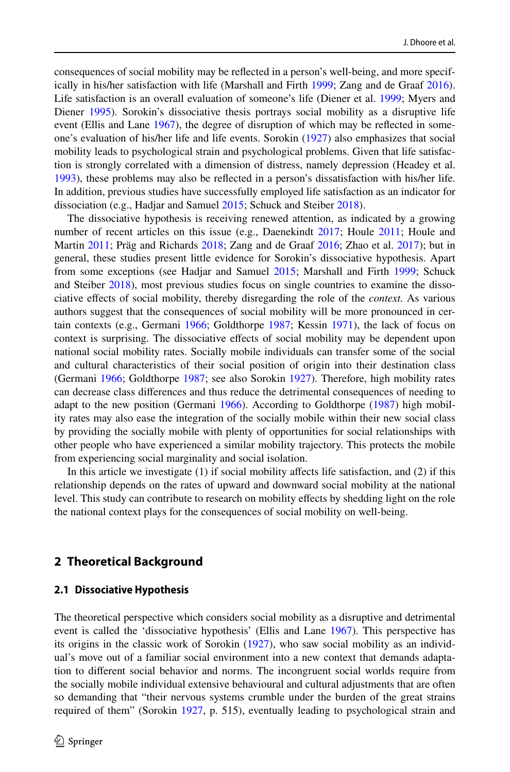consequences of social mobility may be refected in a person's well-being, and more specifically in his/her satisfaction with life (Marshall and Firth [1999](#page-14-0); Zang and de Graaf [2016](#page-15-1)). Life satisfaction is an overall evaluation of someone's life (Diener et al. [1999](#page-13-0); Myers and Diener [1995\)](#page-14-1). Sorokin's dissociative thesis portrays social mobility as a disruptive life event (Ellis and Lane [1967](#page-14-2)), the degree of disruption of which may be reflected in someone's evaluation of his/her life and life events. Sorokin [\(1927](#page-15-0)) also emphasizes that social mobility leads to psychological strain and psychological problems. Given that life satisfaction is strongly correlated with a dimension of distress, namely depression (Headey et al. [1993\)](#page-14-3), these problems may also be refected in a person's dissatisfaction with his/her life. In addition, previous studies have successfully employed life satisfaction as an indicator for dissociation (e.g., Hadjar and Samuel [2015](#page-14-4); Schuck and Steiber [2018\)](#page-15-2).

The dissociative hypothesis is receiving renewed attention, as indicated by a growing number of recent articles on this issue (e.g., Daenekindt [2017](#page-13-1); Houle [2011](#page-14-5); Houle and Martin [2011;](#page-14-6) Präg and Richards [2018;](#page-15-3) Zang and de Graaf [2016;](#page-15-1) Zhao et al. [2017](#page-15-4)); but in general, these studies present little evidence for Sorokin's dissociative hypothesis. Apart from some exceptions (see Hadjar and Samuel [2015](#page-14-4); Marshall and Firth [1999](#page-14-0); Schuck and Steiber [2018\)](#page-15-2), most previous studies focus on single countries to examine the dissociative efects of social mobility, thereby disregarding the role of the *context.* As various authors suggest that the consequences of social mobility will be more pronounced in certain contexts (e.g., Germani [1966](#page-14-7); Goldthorpe [1987](#page-14-8); Kessin [1971\)](#page-14-9), the lack of focus on context is surprising. The dissociative efects of social mobility may be dependent upon national social mobility rates. Socially mobile individuals can transfer some of the social and cultural characteristics of their social position of origin into their destination class (Germani [1966](#page-14-7); Goldthorpe [1987;](#page-14-8) see also Sorokin [1927](#page-15-0)). Therefore, high mobility rates can decrease class diferences and thus reduce the detrimental consequences of needing to adapt to the new position (Germani [1966](#page-14-7)). According to Goldthorpe [\(1987](#page-14-8)) high mobility rates may also ease the integration of the socially mobile within their new social class by providing the socially mobile with plenty of opportunities for social relationships with other people who have experienced a similar mobility trajectory. This protects the mobile from experiencing social marginality and social isolation.

In this article we investigate (1) if social mobility afects life satisfaction, and (2) if this relationship depends on the rates of upward and downward social mobility at the national level. This study can contribute to research on mobility efects by shedding light on the role the national context plays for the consequences of social mobility on well-being.

### **2 Theoretical Background**

#### **2.1 Dissociative Hypothesis**

The theoretical perspective which considers social mobility as a disruptive and detrimental event is called the 'dissociative hypothesis' (Ellis and Lane [1967\)](#page-14-2). This perspective has its origins in the classic work of Sorokin [\(1927](#page-15-0)), who saw social mobility as an individual's move out of a familiar social environment into a new context that demands adaptation to diferent social behavior and norms. The incongruent social worlds require from the socially mobile individual extensive behavioural and cultural adjustments that are often so demanding that "their nervous systems crumble under the burden of the great strains required of them" (Sorokin [1927](#page-15-0), p. 515), eventually leading to psychological strain and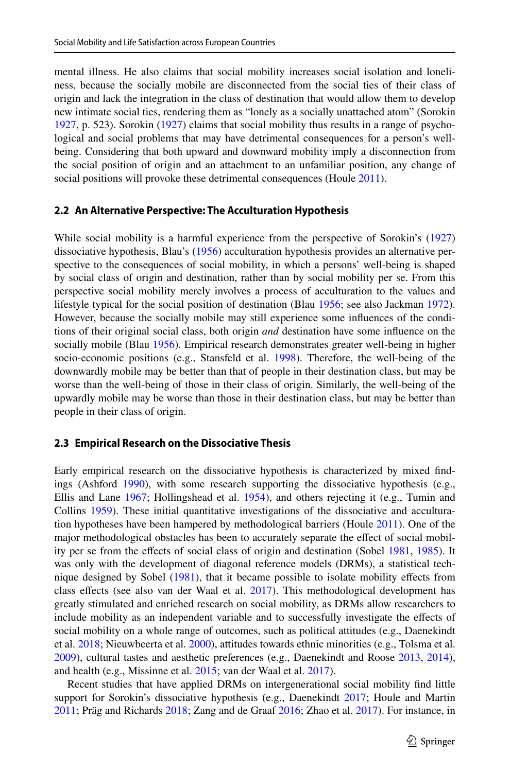mental illness. He also claims that social mobility increases social isolation and loneliness, because the socially mobile are disconnected from the social ties of their class of origin and lack the integration in the class of destination that would allow them to develop new intimate social ties, rendering them as "lonely as a socially unattached atom" (Sorokin [1927,](#page-15-0) p. 523). Sorokin [\(1927](#page-15-0)) claims that social mobility thus results in a range of psychological and social problems that may have detrimental consequences for a person's wellbeing. Considering that both upward and downward mobility imply a disconnection from the social position of origin and an attachment to an unfamiliar position, any change of social positions will provoke these detrimental consequences (Houle [2011](#page-14-5)).

#### **2.2 An Alternative Perspective: The Acculturation Hypothesis**

While social mobility is a harmful experience from the perspective of Sorokin's [\(1927](#page-15-0)) dissociative hypothesis, Blau's ([1956\)](#page-13-2) acculturation hypothesis provides an alternative perspective to the consequences of social mobility, in which a persons' well-being is shaped by social class of origin and destination, rather than by social mobility per se. From this perspective social mobility merely involves a process of acculturation to the values and lifestyle typical for the social position of destination (Blau [1956;](#page-13-2) see also Jackman [1972](#page-14-10)). However, because the socially mobile may still experience some infuences of the conditions of their original social class, both origin *and* destination have some infuence on the socially mobile (Blau [1956\)](#page-13-2). Empirical research demonstrates greater well-being in higher socio-economic positions (e.g., Stansfeld et al. [1998](#page-15-5)). Therefore, the well-being of the downwardly mobile may be better than that of people in their destination class, but may be worse than the well-being of those in their class of origin. Similarly, the well-being of the upwardly mobile may be worse than those in their destination class, but may be better than people in their class of origin.

### **2.3 Empirical Research on the Dissociative Thesis**

Early empirical research on the dissociative hypothesis is characterized by mixed fndings (Ashford [1990\)](#page-13-3), with some research supporting the dissociative hypothesis (e.g., Ellis and Lane [1967;](#page-14-2) Hollingshead et al. [1954\)](#page-14-11), and others rejecting it (e.g., Tumin and Collins [1959\)](#page-15-6). These initial quantitative investigations of the dissociative and acculturation hypotheses have been hampered by methodological barriers (Houle [2011\)](#page-14-5). One of the major methodological obstacles has been to accurately separate the efect of social mobility per se from the efects of social class of origin and destination (Sobel [1981,](#page-15-7) [1985](#page-15-8)). It was only with the development of diagonal reference models (DRMs), a statistical technique designed by Sobel ([1981\)](#page-15-7), that it became possible to isolate mobility efects from class effects (see also van der Waal et al. [2017\)](#page-15-9). This methodological development has greatly stimulated and enriched research on social mobility, as DRMs allow researchers to include mobility as an independent variable and to successfully investigate the efects of social mobility on a whole range of outcomes, such as political attitudes (e.g., Daenekindt et al. [2018](#page-13-4); Nieuwbeerta et al. [2000\)](#page-15-10), attitudes towards ethnic minorities (e.g., Tolsma et al. [2009\)](#page-15-11), cultural tastes and aesthetic preferences (e.g., Daenekindt and Roose [2013,](#page-13-5) [2014](#page-13-6)), and health (e.g., Missinne et al. [2015](#page-14-12); van der Waal et al. [2017](#page-15-9)).

Recent studies that have applied DRMs on intergenerational social mobility fnd little support for Sorokin's dissociative hypothesis (e.g., Daenekindt [2017;](#page-13-1) Houle and Martin [2011;](#page-14-6) Präg and Richards [2018;](#page-15-3) Zang and de Graaf [2016](#page-15-1); Zhao et al. [2017\)](#page-15-4). For instance, in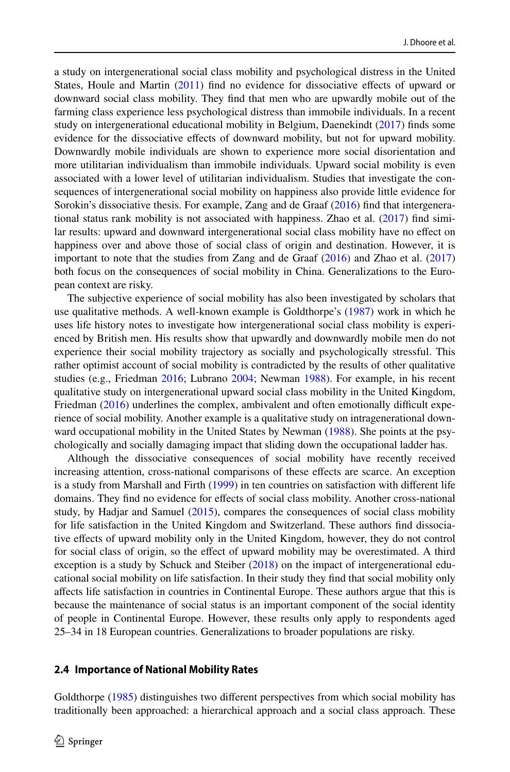a study on intergenerational social class mobility and psychological distress in the United States, Houle and Martin ([2011\)](#page-14-6) fnd no evidence for dissociative efects of upward or downward social class mobility. They fnd that men who are upwardly mobile out of the farming class experience less psychological distress than immobile individuals. In a recent study on intergenerational educational mobility in Belgium, Daenekindt ([2017\)](#page-13-1) fnds some evidence for the dissociative efects of downward mobility, but not for upward mobility. Downwardly mobile individuals are shown to experience more social disorientation and more utilitarian individualism than immobile individuals. Upward social mobility is even associated with a lower level of utilitarian individualism. Studies that investigate the consequences of intergenerational social mobility on happiness also provide little evidence for Sorokin's dissociative thesis. For example, Zang and de Graaf [\(2016](#page-15-1)) fnd that intergenerational status rank mobility is not associated with happiness. Zhao et al.  $(2017)$  $(2017)$  find similar results: upward and downward intergenerational social class mobility have no efect on happiness over and above those of social class of origin and destination. However, it is important to note that the studies from Zang and de Graaf [\(2016](#page-15-1)) and Zhao et al. [\(2017](#page-15-4)) both focus on the consequences of social mobility in China. Generalizations to the European context are risky.

The subjective experience of social mobility has also been investigated by scholars that use qualitative methods. A well-known example is Goldthorpe's [\(1987](#page-14-8)) work in which he uses life history notes to investigate how intergenerational social class mobility is experienced by British men. His results show that upwardly and downwardly mobile men do not experience their social mobility trajectory as socially and psychologically stressful. This rather optimist account of social mobility is contradicted by the results of other qualitative studies (e.g., Friedman [2016](#page-14-13); Lubrano [2004;](#page-14-14) Newman [1988](#page-15-12)). For example, in his recent qualitative study on intergenerational upward social class mobility in the United Kingdom, Friedman [\(2016](#page-14-13)) underlines the complex, ambivalent and often emotionally difficult experience of social mobility. Another example is a qualitative study on intragenerational down-ward occupational mobility in the United States by Newman [\(1988](#page-15-12)). She points at the psychologically and socially damaging impact that sliding down the occupational ladder has.

Although the dissociative consequences of social mobility have recently received increasing attention, cross-national comparisons of these efects are scarce. An exception is a study from Marshall and Firth ([1999\)](#page-14-0) in ten countries on satisfaction with diferent life domains. They fnd no evidence for efects of social class mobility. Another cross-national study, by Hadjar and Samuel [\(2015](#page-14-4)), compares the consequences of social class mobility for life satisfaction in the United Kingdom and Switzerland. These authors fnd dissociative efects of upward mobility only in the United Kingdom, however, they do not control for social class of origin, so the efect of upward mobility may be overestimated. A third exception is a study by Schuck and Steiber ([2018\)](#page-15-2) on the impact of intergenerational educational social mobility on life satisfaction. In their study they fnd that social mobility only afects life satisfaction in countries in Continental Europe. These authors argue that this is because the maintenance of social status is an important component of the social identity of people in Continental Europe. However, these results only apply to respondents aged 25–34 in 18 European countries. Generalizations to broader populations are risky.

#### **2.4 Importance of National Mobility Rates**

Goldthorpe [\(1985](#page-14-15)) distinguishes two diferent perspectives from which social mobility has traditionally been approached: a hierarchical approach and a social class approach. These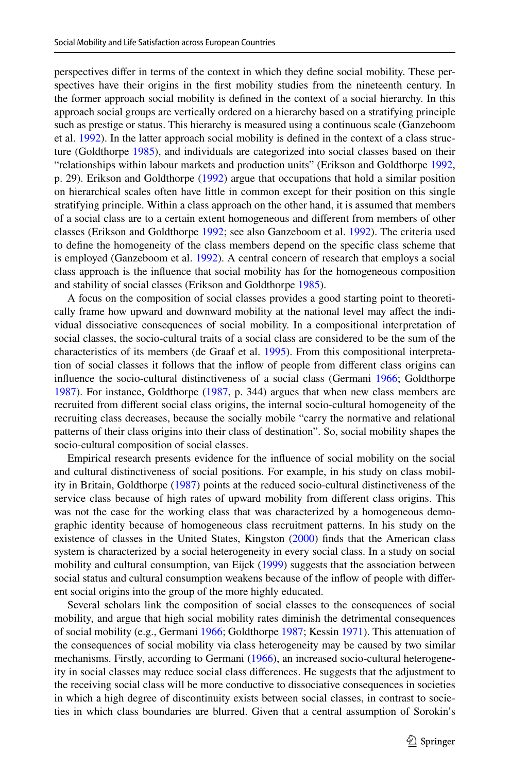perspectives difer in terms of the context in which they defne social mobility. These perspectives have their origins in the frst mobility studies from the nineteenth century. In the former approach social mobility is defned in the context of a social hierarchy. In this approach social groups are vertically ordered on a hierarchy based on a stratifying principle such as prestige or status. This hierarchy is measured using a continuous scale (Ganzeboom et al. [1992\)](#page-14-16). In the latter approach social mobility is defned in the context of a class structure (Goldthorpe [1985](#page-14-15)), and individuals are categorized into social classes based on their "relationships within labour markets and production units" (Erikson and Goldthorpe [1992](#page-14-17), p. 29). Erikson and Goldthorpe ([1992\)](#page-14-17) argue that occupations that hold a similar position on hierarchical scales often have little in common except for their position on this single stratifying principle. Within a class approach on the other hand, it is assumed that members of a social class are to a certain extent homogeneous and diferent from members of other classes (Erikson and Goldthorpe [1992;](#page-14-17) see also Ganzeboom et al. [1992\)](#page-14-16). The criteria used to defne the homogeneity of the class members depend on the specifc class scheme that is employed (Ganzeboom et al. [1992\)](#page-14-16). A central concern of research that employs a social class approach is the infuence that social mobility has for the homogeneous composition and stability of social classes (Erikson and Goldthorpe [1985\)](#page-14-18).

A focus on the composition of social classes provides a good starting point to theoretically frame how upward and downward mobility at the national level may afect the individual dissociative consequences of social mobility. In a compositional interpretation of social classes, the socio-cultural traits of a social class are considered to be the sum of the characteristics of its members (de Graaf et al. [1995\)](#page-13-7). From this compositional interpretation of social classes it follows that the infow of people from diferent class origins can infuence the socio-cultural distinctiveness of a social class (Germani [1966;](#page-14-7) Goldthorpe [1987\)](#page-14-8). For instance, Goldthorpe ([1987,](#page-14-8) p. 344) argues that when new class members are recruited from diferent social class origins, the internal socio-cultural homogeneity of the recruiting class decreases, because the socially mobile "carry the normative and relational patterns of their class origins into their class of destination". So, social mobility shapes the socio-cultural composition of social classes.

Empirical research presents evidence for the infuence of social mobility on the social and cultural distinctiveness of social positions. For example, in his study on class mobility in Britain, Goldthorpe [\(1987](#page-14-8)) points at the reduced socio-cultural distinctiveness of the service class because of high rates of upward mobility from diferent class origins. This was not the case for the working class that was characterized by a homogeneous demographic identity because of homogeneous class recruitment patterns. In his study on the existence of classes in the United States, Kingston [\(2000](#page-14-19)) finds that the American class system is characterized by a social heterogeneity in every social class. In a study on social mobility and cultural consumption, van Eijck [\(1999](#page-15-13)) suggests that the association between social status and cultural consumption weakens because of the infow of people with diferent social origins into the group of the more highly educated.

Several scholars link the composition of social classes to the consequences of social mobility, and argue that high social mobility rates diminish the detrimental consequences of social mobility (e.g., Germani [1966;](#page-14-7) Goldthorpe [1987;](#page-14-8) Kessin [1971](#page-14-9)). This attenuation of the consequences of social mobility via class heterogeneity may be caused by two similar mechanisms. Firstly, according to Germani [\(1966](#page-14-7)), an increased socio-cultural heterogeneity in social classes may reduce social class diferences. He suggests that the adjustment to the receiving social class will be more conductive to dissociative consequences in societies in which a high degree of discontinuity exists between social classes, in contrast to societies in which class boundaries are blurred. Given that a central assumption of Sorokin's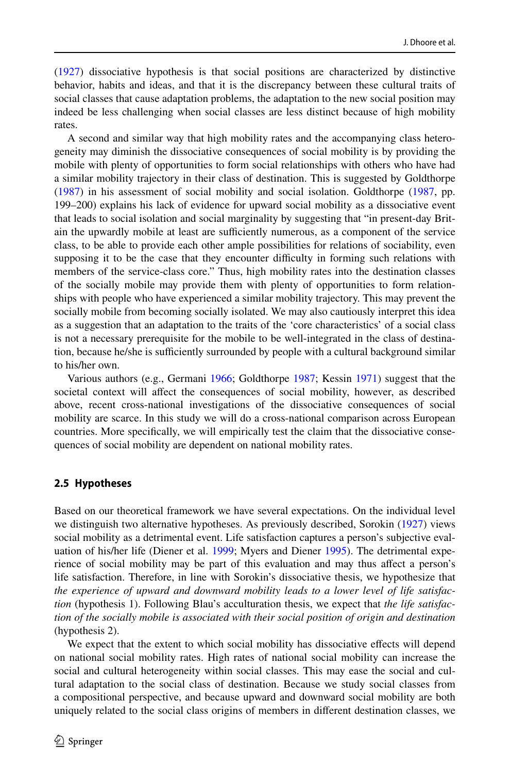([1927\)](#page-15-0) dissociative hypothesis is that social positions are characterized by distinctive behavior, habits and ideas, and that it is the discrepancy between these cultural traits of social classes that cause adaptation problems, the adaptation to the new social position may indeed be less challenging when social classes are less distinct because of high mobility rates.

A second and similar way that high mobility rates and the accompanying class heterogeneity may diminish the dissociative consequences of social mobility is by providing the mobile with plenty of opportunities to form social relationships with others who have had a similar mobility trajectory in their class of destination. This is suggested by Goldthorpe ([1987\)](#page-14-8) in his assessment of social mobility and social isolation. Goldthorpe [\(1987](#page-14-8), pp. 199–200) explains his lack of evidence for upward social mobility as a dissociative event that leads to social isolation and social marginality by suggesting that "in present-day Britain the upwardly mobile at least are sufficiently numerous, as a component of the service class, to be able to provide each other ample possibilities for relations of sociability, even supposing it to be the case that they encounter difficulty in forming such relations with members of the service-class core." Thus, high mobility rates into the destination classes of the socially mobile may provide them with plenty of opportunities to form relationships with people who have experienced a similar mobility trajectory. This may prevent the socially mobile from becoming socially isolated. We may also cautiously interpret this idea as a suggestion that an adaptation to the traits of the 'core characteristics' of a social class is not a necessary prerequisite for the mobile to be well-integrated in the class of destination, because he/she is sufficiently surrounded by people with a cultural background similar to his/her own.

Various authors (e.g., Germani [1966](#page-14-7); Goldthorpe [1987;](#page-14-8) Kessin [1971\)](#page-14-9) suggest that the societal context will afect the consequences of social mobility, however, as described above, recent cross-national investigations of the dissociative consequences of social mobility are scarce. In this study we will do a cross-national comparison across European countries. More specifcally, we will empirically test the claim that the dissociative consequences of social mobility are dependent on national mobility rates.

#### **2.5 Hypotheses**

Based on our theoretical framework we have several expectations. On the individual level we distinguish two alternative hypotheses. As previously described, Sorokin ([1927\)](#page-15-0) views social mobility as a detrimental event. Life satisfaction captures a person's subjective evaluation of his/her life (Diener et al. [1999;](#page-13-0) Myers and Diener [1995\)](#page-14-1). The detrimental experience of social mobility may be part of this evaluation and may thus afect a person's life satisfaction. Therefore, in line with Sorokin's dissociative thesis, we hypothesize that *the experience of upward and downward mobility leads to a lower level of life satisfaction* (hypothesis 1). Following Blau's acculturation thesis, we expect that *the life satisfaction of the socially mobile is associated with their social position of origin and destination* (hypothesis 2).

We expect that the extent to which social mobility has dissociative efects will depend on national social mobility rates. High rates of national social mobility can increase the social and cultural heterogeneity within social classes. This may ease the social and cultural adaptation to the social class of destination. Because we study social classes from a compositional perspective, and because upward and downward social mobility are both uniquely related to the social class origins of members in diferent destination classes, we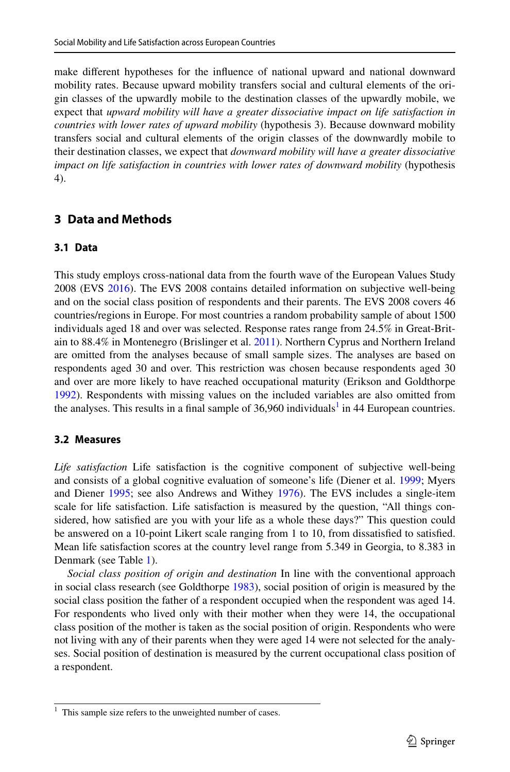make diferent hypotheses for the infuence of national upward and national downward mobility rates. Because upward mobility transfers social and cultural elements of the origin classes of the upwardly mobile to the destination classes of the upwardly mobile, we expect that *upward mobility will have a greater dissociative impact on life satisfaction in countries with lower rates of upward mobility* (hypothesis 3). Because downward mobility transfers social and cultural elements of the origin classes of the downwardly mobile to their destination classes, we expect that *downward mobility will have a greater dissociative impact on life satisfaction in countries with lower rates of downward mobility* (hypothesis 4).

# **3 Data and Methods**

### **3.1 Data**

This study employs cross-national data from the fourth wave of the European Values Study 2008 (EVS [2016\)](#page-14-20). The EVS 2008 contains detailed information on subjective well-being and on the social class position of respondents and their parents. The EVS 2008 covers 46 countries/regions in Europe. For most countries a random probability sample of about 1500 individuals aged 18 and over was selected. Response rates range from 24.5% in Great-Britain to 88.4% in Montenegro (Brislinger et al. [2011\)](#page-13-8). Northern Cyprus and Northern Ireland are omitted from the analyses because of small sample sizes. The analyses are based on respondents aged 30 and over. This restriction was chosen because respondents aged 30 and over are more likely to have reached occupational maturity (Erikson and Goldthorpe [1992\)](#page-14-17). Respondents with missing values on the included variables are also omitted from the analyses. This results in a final sample of  $36,960$  individuals<sup>[1](#page-6-0)</sup> in 44 European countries.

### **3.2 Measures**

*Life satisfaction* Life satisfaction is the cognitive component of subjective well-being and consists of a global cognitive evaluation of someone's life (Diener et al. [1999;](#page-13-0) Myers and Diener [1995](#page-14-1); see also Andrews and Withey [1976](#page-13-9)). The EVS includes a single-item scale for life satisfaction. Life satisfaction is measured by the question, "All things considered, how satisfed are you with your life as a whole these days?" This question could be answered on a 10-point Likert scale ranging from 1 to 10, from dissatisfed to satisfed. Mean life satisfaction scores at the country level range from 5.349 in Georgia, to 8.383 in Denmark (see Table [1](#page-7-0)).

*Social class position of origin and destination* In line with the conventional approach in social class research (see Goldthorpe [1983](#page-14-21)), social position of origin is measured by the social class position the father of a respondent occupied when the respondent was aged 14. For respondents who lived only with their mother when they were 14, the occupational class position of the mother is taken as the social position of origin. Respondents who were not living with any of their parents when they were aged 14 were not selected for the analyses. Social position of destination is measured by the current occupational class position of a respondent.

<span id="page-6-0"></span> $1$  This sample size refers to the unweighted number of cases.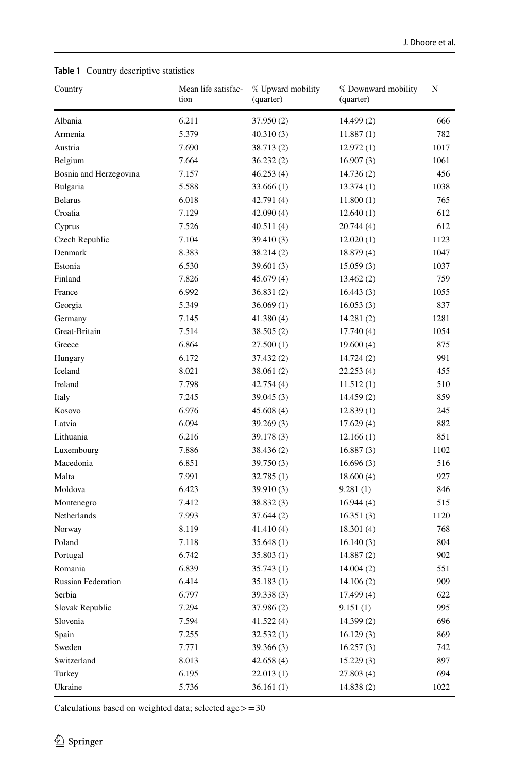<span id="page-7-0"></span>

|  |  | Table 1 Country descriptive statistics |  |
|--|--|----------------------------------------|--|
|--|--|----------------------------------------|--|

| Country                   | Mean life satisfac-<br>tion | % Upward mobility<br>(quarter) | % Downward mobility<br>(quarter) | N    |
|---------------------------|-----------------------------|--------------------------------|----------------------------------|------|
| Albania                   | 6.211                       | 37.950 (2)                     | 14.499 (2)                       | 666  |
| Armenia                   | 5.379                       | 40.310(3)                      | 11.887(1)                        | 782  |
| Austria                   | 7.690                       | 38.713 (2)                     | 12.972(1)                        | 1017 |
| Belgium                   | 7.664                       | 36.232 (2)                     | 16.907(3)                        | 1061 |
| Bosnia and Herzegovina    | 7.157                       | 46.253(4)                      | 14.736(2)                        | 456  |
| Bulgaria                  | 5.588                       | 33.666(1)                      | 13.374(1)                        | 1038 |
| <b>Belarus</b>            | 6.018                       | 42.791 (4)                     | 11.800(1)                        | 765  |
| Croatia                   | 7.129                       | 42.090(4)                      | 12.640(1)                        | 612  |
| Cyprus                    | 7.526                       | 40.511(4)                      | 20.744 (4)                       | 612  |
| Czech Republic            | 7.104                       | 39.410 (3)                     | 12.020(1)                        | 1123 |
| Denmark                   | 8.383                       | 38.214 (2)                     | 18.879(4)                        | 1047 |
| Estonia                   | 6.530                       | 39.601 (3)                     | 15.059(3)                        | 1037 |
| Finland                   | 7.826                       | 45.679 (4)                     | 13.462(2)                        | 759  |
| France                    | 6.992                       | 36.831 (2)                     | 16.443(3)                        | 1055 |
| Georgia                   | 5.349                       | 36.069 (1)                     | 16.053(3)                        | 837  |
| Germany                   | 7.145                       | 41.380 (4)                     | 14.281 (2)                       | 1281 |
| Great-Britain             | 7.514                       | 38.505 (2)                     | 17.740(4)                        | 1054 |
| Greece                    | 6.864                       | 27.500(1)                      | 19.600(4)                        | 875  |
| Hungary                   | 6.172                       | 37.432 (2)                     | 14.724(2)                        | 991  |
| Iceland                   | 8.021                       | 38.061 (2)                     | 22.253(4)                        | 455  |
| Ireland                   | 7.798                       | 42.754 (4)                     | 11.512(1)                        | 510  |
| Italy                     | 7.245                       | 39.045 (3)                     | 14.459 (2)                       | 859  |
| Kosovo                    | 6.976                       | 45.608 (4)                     | 12.839(1)                        | 245  |
| Latvia                    | 6.094                       | 39.269 (3)                     | 17.629(4)                        | 882  |
| Lithuania                 | 6.216                       | 39.178 (3)                     | 12.166(1)                        | 851  |
| Luxembourg                | 7.886                       | 38.436 (2)                     | 16.887(3)                        | 1102 |
| Macedonia                 | 6.851                       | 39.750 (3)                     | 16.696(3)                        | 516  |
| Malta                     | 7.991                       | 32.785 (1)                     | 18.600(4)                        | 927  |
| Moldova                   | 6.423                       | 39.910 (3)                     | 9.281(1)                         | 846  |
| Montenegro                | 7.412                       | 38.832 (3)                     | 16.944(4)                        | 515  |
| Netherlands               | 7.993                       | 37.644 (2)                     | 16.351(3)                        | 1120 |
| Norway                    | 8.119                       | 41.410 (4)                     | 18.301 (4)                       | 768  |
| Poland                    | 7.118                       | 35.648 (1)                     | 16.140(3)                        | 804  |
| Portugal                  | 6.742                       | 35.803(1)                      | 14.887 (2)                       | 902  |
| Romania                   | 6.839                       | 35.743 (1)                     | 14.004(2)                        | 551  |
| <b>Russian Federation</b> | 6.414                       | 35.183(1)                      | 14.106(2)                        | 909  |
| Serbia                    | 6.797                       | 39.338 (3)                     | 17.499(4)                        | 622  |
| Slovak Republic           | 7.294                       | 37.986 (2)                     | 9.151(1)                         | 995  |
| Slovenia                  | 7.594                       | 41.522(4)                      | 14.399 (2)                       | 696  |
| Spain                     | 7.255                       | 32.532(1)                      | 16.129(3)                        | 869  |
| Sweden                    | 7.771                       | 39.366 (3)                     | 16.257(3)                        | 742  |
| Switzerland               | 8.013                       | 42.658(4)                      | 15.229(3)                        | 897  |
| Turkey                    | 6.195                       | 22.013(1)                      | 27.803 (4)                       | 694  |
| Ukraine                   | 5.736                       | 36.161 (1)                     | 14.838(2)                        | 1022 |

Calculations based on weighted data; selected age $> = 30$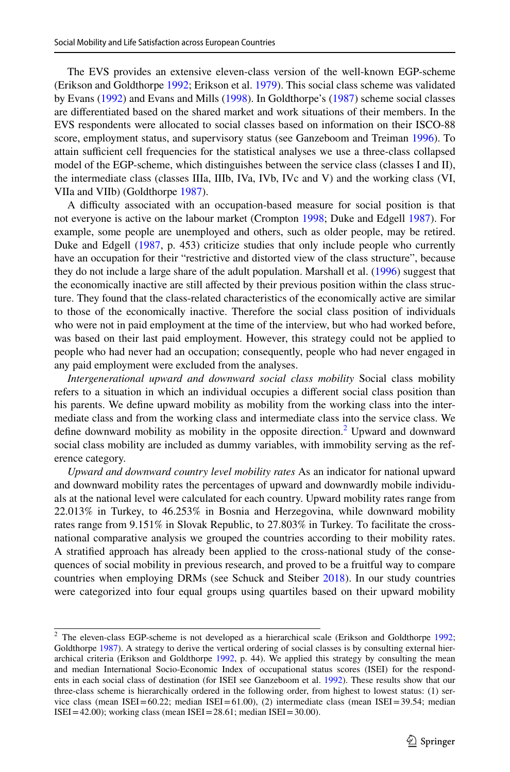The EVS provides an extensive eleven-class version of the well-known EGP-scheme (Erikson and Goldthorpe [1992;](#page-14-17) Erikson et al. [1979\)](#page-14-22). This social class scheme was validated by Evans ([1992\)](#page-14-23) and Evans and Mills [\(1998](#page-14-24)). In Goldthorpe's ([1987\)](#page-14-8) scheme social classes are diferentiated based on the shared market and work situations of their members. In the EVS respondents were allocated to social classes based on information on their ISCO-88 score, employment status, and supervisory status (see Ganzeboom and Treiman [1996](#page-14-25)). To attain sufficient cell frequencies for the statistical analyses we use a three-class collapsed model of the EGP-scheme, which distinguishes between the service class (classes I and II), the intermediate class (classes IIIa, IIIb, IVa, IVb, IVc and V) and the working class (VI, VIIa and VIIb) (Goldthorpe [1987](#page-14-8)).

A difculty associated with an occupation-based measure for social position is that not everyone is active on the labour market (Crompton [1998](#page-13-10); Duke and Edgell [1987](#page-13-11)). For example, some people are unemployed and others, such as older people, may be retired. Duke and Edgell [\(1987](#page-13-11), p. 453) criticize studies that only include people who currently have an occupation for their "restrictive and distorted view of the class structure", because they do not include a large share of the adult population. Marshall et al. [\(1996](#page-14-26)) suggest that the economically inactive are still afected by their previous position within the class structure. They found that the class-related characteristics of the economically active are similar to those of the economically inactive. Therefore the social class position of individuals who were not in paid employment at the time of the interview, but who had worked before, was based on their last paid employment. However, this strategy could not be applied to people who had never had an occupation; consequently, people who had never engaged in any paid employment were excluded from the analyses.

*Intergenerational upward and downward social class mobility* Social class mobility refers to a situation in which an individual occupies a diferent social class position than his parents. We defne upward mobility as mobility from the working class into the intermediate class and from the working class and intermediate class into the service class. We define downward mobility as mobility in the opposite direction.<sup>2</sup> Upward and downward social class mobility are included as dummy variables, with immobility serving as the reference category.

*Upward and downward country level mobility rates* As an indicator for national upward and downward mobility rates the percentages of upward and downwardly mobile individuals at the national level were calculated for each country. Upward mobility rates range from 22.013% in Turkey, to 46.253% in Bosnia and Herzegovina, while downward mobility rates range from 9.151% in Slovak Republic, to 27.803% in Turkey. To facilitate the crossnational comparative analysis we grouped the countries according to their mobility rates. A stratifed approach has already been applied to the cross-national study of the consequences of social mobility in previous research, and proved to be a fruitful way to compare countries when employing DRMs (see Schuck and Steiber [2018](#page-15-2)). In our study countries were categorized into four equal groups using quartiles based on their upward mobility

<span id="page-8-0"></span><sup>&</sup>lt;sup>2</sup> The eleven-class EGP-scheme is not developed as a hierarchical scale (Erikson and Goldthorpe [1992](#page-14-17); Goldthorpe [1987\)](#page-14-8). A strategy to derive the vertical ordering of social classes is by consulting external hierarchical criteria (Erikson and Goldthorpe [1992](#page-14-17), p. 44). We applied this strategy by consulting the mean and median International Socio-Economic Index of occupational status scores (ISEI) for the respondents in each social class of destination (for ISEI see Ganzeboom et al. [1992](#page-14-16)). These results show that our three-class scheme is hierarchically ordered in the following order, from highest to lowest status: (1) service class (mean ISEI=60.22; median ISEI=61.00), (2) intermediate class (mean ISEI=39.54; median  $ISEI = 42.00$ ; working class (mean  $ISEI = 28.61$ ; median  $ISEI = 30.00$ ).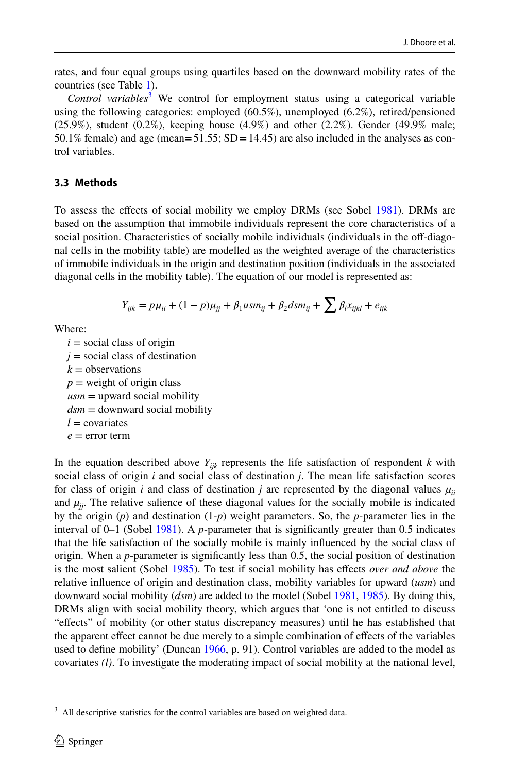rates, and four equal groups using quartiles based on the downward mobility rates of the countries (see Table [1](#page-7-0)).

*Control variables*[3](#page-9-0) We control for employment status using a categorical variable using the following categories: employed (60.5%), unemployed (6.2%), retired/pensioned  $(25.9\%)$ , student  $(0.2\%)$ , keeping house  $(4.9\%)$  and other  $(2.2\%)$ . Gender  $(49.9\%$  male;  $50.1\%$  female) and age (mean=51.55; SD=14.45) are also included in the analyses as control variables.

### **3.3 Methods**

To assess the efects of social mobility we employ DRMs (see Sobel [1981\)](#page-15-7). DRMs are based on the assumption that immobile individuals represent the core characteristics of a social position. Characteristics of socially mobile individuals (individuals in the off-diagonal cells in the mobility table) are modelled as the weighted average of the characteristics of immobile individuals in the origin and destination position (individuals in the associated diagonal cells in the mobility table). The equation of our model is represented as:

$$
Y_{ijk} = p\mu_{ii} + (1 - p)\mu_{jj} + \beta_1 u s m_{ij} + \beta_2 d s m_{ij} + \sum \beta_i x_{ijkl} + e_{ijk}
$$

Where:

 $i =$  social class of origin  $i =$  social class of destination  $k =$  observations  $p$  = weight of origin class  $u$ *sm* = upward social mobility *dsm* = downward social mobility  $l =$  covariates  $e =$ error term

In the equation described above  $Y_{ijk}$  represents the life satisfaction of respondent *k* with social class of origin *i* and social class of destination *j*. The mean life satisfaction scores for class of origin *i* and class of destination *j* are represented by the diagonal values  $\mu_{ii}$ and  $\mu_{ij}$ . The relative salience of these diagonal values for the socially mobile is indicated by the origin (*p*) and destination (1-*p*) weight parameters. So, the *p*-parameter lies in the interval of 0–1 (Sobel [1981](#page-15-7)). A *p*-parameter that is signifcantly greater than 0.5 indicates that the life satisfaction of the socially mobile is mainly infuenced by the social class of origin. When a *p*-parameter is signifcantly less than 0.5, the social position of destination is the most salient (Sobel [1985](#page-15-8)). To test if social mobility has efects *over and above* the relative infuence of origin and destination class, mobility variables for upward (*usm*) and downward social mobility (*dsm*) are added to the model (Sobel [1981](#page-15-7), [1985\)](#page-15-8). By doing this, DRMs align with social mobility theory, which argues that 'one is not entitled to discuss "efects" of mobility (or other status discrepancy measures) until he has established that the apparent efect cannot be due merely to a simple combination of efects of the variables used to defne mobility' (Duncan [1966,](#page-13-12) p. 91). Control variables are added to the model as covariates *(l)*. To investigate the moderating impact of social mobility at the national level,

<span id="page-9-0"></span>All descriptive statistics for the control variables are based on weighted data.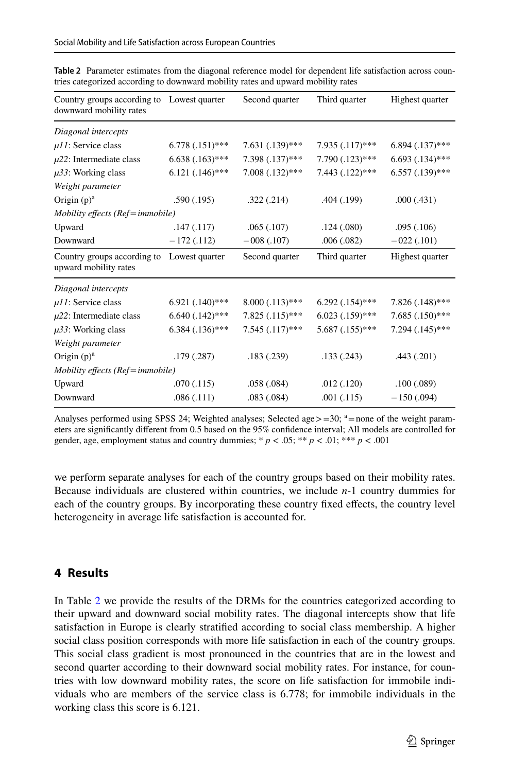| Country groups according to<br>downward mobility rates | Lowest quarter       | Second quarter    | Third quarter        | Highest quarter      |  |  |  |
|--------------------------------------------------------|----------------------|-------------------|----------------------|----------------------|--|--|--|
| Diagonal intercepts                                    |                      |                   |                      |                      |  |  |  |
| $\mu$ 11: Service class                                | $6.778(.151)$ ***    | $7.631(.139)$ *** | $7.935(.117)$ ***    | $6.894$ $(.137)$ *** |  |  |  |
| $\mu$ 22: Intermediate class                           | $6.638(.163)$ ***    | $7.398(.137)$ *** | $7.790(.123)$ ***    | $6.693$ $(.134)$ *** |  |  |  |
| $\mu$ 33: Working class                                | $6.121(.146)$ ***    | $7.008(.132)$ *** | $7.443$ $(.122)$ *** | $6.557$ $(.139)$ *** |  |  |  |
| Weight parameter                                       |                      |                   |                      |                      |  |  |  |
| Origin $(p)^a$                                         | .590(.195)           | .322(.214)        | .404(.199)           | .000(.431)           |  |  |  |
| Mobility effects $(Ref = \text{immodule})$             |                      |                   |                      |                      |  |  |  |
| Upward                                                 | .147(.117)           | .065(.107)        | .124(.080)           | .095(.106)           |  |  |  |
| Downward                                               | $-172(0.112)$        | $-008(.107)$      | .006(.082)           | $-022(0.101)$        |  |  |  |
| Country groups according to<br>upward mobility rates   | Lowest quarter       | Second quarter    | Third quarter        | Highest quarter      |  |  |  |
| Diagonal intercepts                                    |                      |                   |                      |                      |  |  |  |
| $\mu$ 11: Service class                                | $6.921(.140)$ ***    | $8.000(.113)$ *** | $6.292(.154)$ ***    | $7.826(.148)$ ***    |  |  |  |
| $\mu$ 22: Intermediate class                           | $6.640$ $(.142)$ *** | $7.825(.115)$ *** | $6.023$ $(.159)$ *** | $7.685(.150)$ ***    |  |  |  |
| $\mu$ 33: Working class                                | $6.384$ $(.136)$ *** | $7.545(.117)$ *** | $5.687(.155)$ ***    | $7.294$ $(.145)$ *** |  |  |  |
| Weight parameter                                       |                      |                   |                      |                      |  |  |  |
| Origin $(p)^a$                                         | .179(.287)           | .183(.239)        | .133(.243)           | .443(.201)           |  |  |  |
| Mobility effects $(Ref = \text{immodule})$             |                      |                   |                      |                      |  |  |  |
| Upward                                                 | .070(.115)           | .058(.084)        | .012(.120)           | .100(.089)           |  |  |  |
| Downward                                               | .086(.111)           | .083(.084)        | .001(.115)           | $-150(.094)$         |  |  |  |

<span id="page-10-0"></span>**Table 2** Parameter estimates from the diagonal reference model for dependent life satisfaction across countries categorized according to downward mobility rates and upward mobility rates

Analyses performed using SPSS 24; Weighted analyses; Selected age  $> =30$ ;  $a =$ none of the weight parameters are signifcantly diferent from 0.5 based on the 95% confdence interval; All models are controlled for gender, age, employment status and country dummies;  $p < .05$ ;  $\alpha p < .01$ ;  $\alpha p < .001$ 

we perform separate analyses for each of the country groups based on their mobility rates. Because individuals are clustered within countries, we include *n*-1 country dummies for each of the country groups. By incorporating these country fxed efects, the country level heterogeneity in average life satisfaction is accounted for.

## **4 Results**

In Table [2](#page-10-0) we provide the results of the DRMs for the countries categorized according to their upward and downward social mobility rates. The diagonal intercepts show that life satisfaction in Europe is clearly stratifed according to social class membership. A higher social class position corresponds with more life satisfaction in each of the country groups. This social class gradient is most pronounced in the countries that are in the lowest and second quarter according to their downward social mobility rates. For instance, for countries with low downward mobility rates, the score on life satisfaction for immobile individuals who are members of the service class is 6.778; for immobile individuals in the working class this score is 6.121.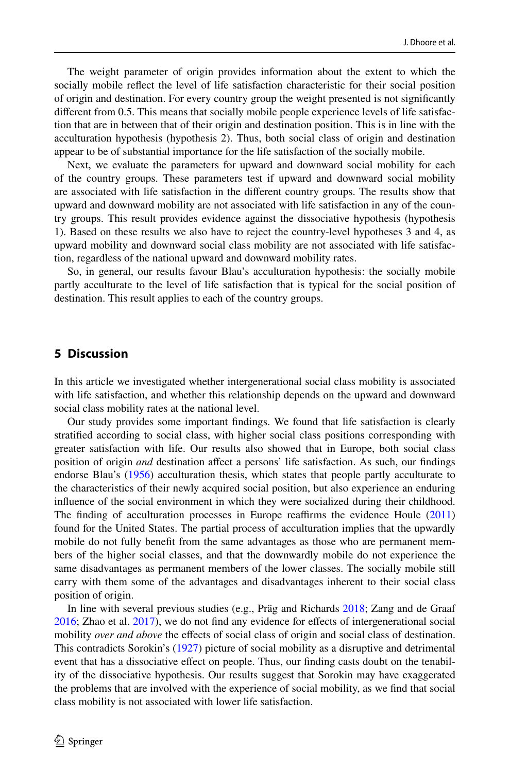The weight parameter of origin provides information about the extent to which the socially mobile refect the level of life satisfaction characteristic for their social position of origin and destination. For every country group the weight presented is not signifcantly diferent from 0.5. This means that socially mobile people experience levels of life satisfaction that are in between that of their origin and destination position. This is in line with the acculturation hypothesis (hypothesis 2). Thus, both social class of origin and destination appear to be of substantial importance for the life satisfaction of the socially mobile.

Next, we evaluate the parameters for upward and downward social mobility for each of the country groups. These parameters test if upward and downward social mobility are associated with life satisfaction in the diferent country groups. The results show that upward and downward mobility are not associated with life satisfaction in any of the country groups. This result provides evidence against the dissociative hypothesis (hypothesis 1). Based on these results we also have to reject the country-level hypotheses 3 and 4, as upward mobility and downward social class mobility are not associated with life satisfaction, regardless of the national upward and downward mobility rates.

So, in general, our results favour Blau's acculturation hypothesis: the socially mobile partly acculturate to the level of life satisfaction that is typical for the social position of destination. This result applies to each of the country groups.

### **5 Discussion**

In this article we investigated whether intergenerational social class mobility is associated with life satisfaction, and whether this relationship depends on the upward and downward social class mobility rates at the national level.

Our study provides some important fndings. We found that life satisfaction is clearly stratifed according to social class, with higher social class positions corresponding with greater satisfaction with life. Our results also showed that in Europe, both social class position of origin *and* destination afect a persons' life satisfaction. As such, our fndings endorse Blau's [\(1956](#page-13-2)) acculturation thesis, which states that people partly acculturate to the characteristics of their newly acquired social position, but also experience an enduring infuence of the social environment in which they were socialized during their childhood. The finding of acculturation processes in Europe reaffirms the evidence Houle [\(2011](#page-14-5)) found for the United States. The partial process of acculturation implies that the upwardly mobile do not fully beneft from the same advantages as those who are permanent members of the higher social classes, and that the downwardly mobile do not experience the same disadvantages as permanent members of the lower classes. The socially mobile still carry with them some of the advantages and disadvantages inherent to their social class position of origin.

In line with several previous studies (e.g., Präg and Richards [2018;](#page-15-3) Zang and de Graaf [2016;](#page-15-1) Zhao et al. [2017\)](#page-15-4), we do not fnd any evidence for efects of intergenerational social mobility *over and above* the effects of social class of origin and social class of destination. This contradicts Sorokin's [\(1927](#page-15-0)) picture of social mobility as a disruptive and detrimental event that has a dissociative efect on people. Thus, our fnding casts doubt on the tenability of the dissociative hypothesis. Our results suggest that Sorokin may have exaggerated the problems that are involved with the experience of social mobility, as we fnd that social class mobility is not associated with lower life satisfaction.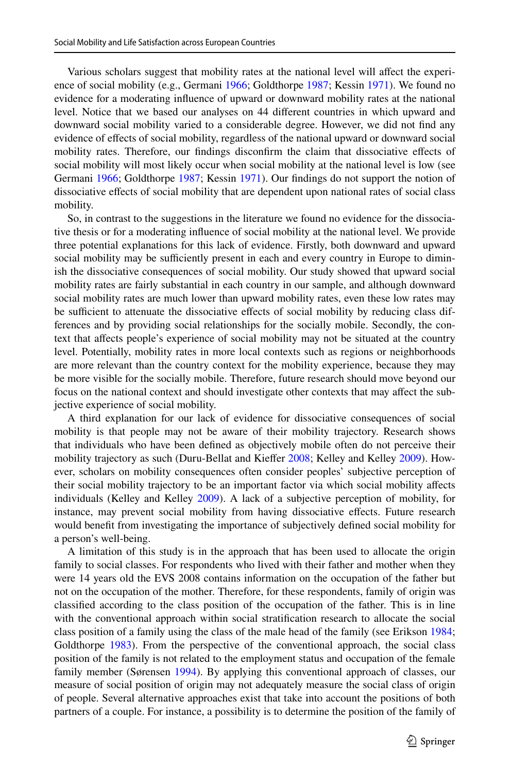Various scholars suggest that mobility rates at the national level will afect the experi-ence of social mobility (e.g., Germani [1966](#page-14-7); Goldthorpe [1987](#page-14-8); Kessin [1971\)](#page-14-9). We found no evidence for a moderating infuence of upward or downward mobility rates at the national level. Notice that we based our analyses on 44 diferent countries in which upward and downward social mobility varied to a considerable degree. However, we did not fnd any evidence of efects of social mobility, regardless of the national upward or downward social mobility rates. Therefore, our fndings disconfrm the claim that dissociative efects of social mobility will most likely occur when social mobility at the national level is low (see Germani [1966;](#page-14-7) Goldthorpe [1987;](#page-14-8) Kessin [1971\)](#page-14-9). Our fndings do not support the notion of dissociative efects of social mobility that are dependent upon national rates of social class mobility.

So, in contrast to the suggestions in the literature we found no evidence for the dissociative thesis or for a moderating infuence of social mobility at the national level. We provide three potential explanations for this lack of evidence. Firstly, both downward and upward social mobility may be sufficiently present in each and every country in Europe to diminish the dissociative consequences of social mobility. Our study showed that upward social mobility rates are fairly substantial in each country in our sample, and although downward social mobility rates are much lower than upward mobility rates, even these low rates may be sufficient to attenuate the dissociative effects of social mobility by reducing class differences and by providing social relationships for the socially mobile. Secondly, the context that afects people's experience of social mobility may not be situated at the country level. Potentially, mobility rates in more local contexts such as regions or neighborhoods are more relevant than the country context for the mobility experience, because they may be more visible for the socially mobile. Therefore, future research should move beyond our focus on the national context and should investigate other contexts that may afect the subjective experience of social mobility.

A third explanation for our lack of evidence for dissociative consequences of social mobility is that people may not be aware of their mobility trajectory. Research shows that individuals who have been defned as objectively mobile often do not perceive their mobility trajectory as such (Duru-Bellat and Kieffer [2008](#page-14-27); Kelley and Kelley [2009](#page-14-28)). However, scholars on mobility consequences often consider peoples' subjective perception of their social mobility trajectory to be an important factor via which social mobility afects individuals (Kelley and Kelley [2009](#page-14-28)). A lack of a subjective perception of mobility, for instance, may prevent social mobility from having dissociative efects. Future research would beneft from investigating the importance of subjectively defned social mobility for a person's well-being.

A limitation of this study is in the approach that has been used to allocate the origin family to social classes. For respondents who lived with their father and mother when they were 14 years old the EVS 2008 contains information on the occupation of the father but not on the occupation of the mother. Therefore, for these respondents, family of origin was classifed according to the class position of the occupation of the father. This is in line with the conventional approach within social stratifcation research to allocate the social class position of a family using the class of the male head of the family (see Erikson [1984;](#page-14-29) Goldthorpe [1983](#page-14-21)). From the perspective of the conventional approach, the social class position of the family is not related to the employment status and occupation of the female family member (Sørensen [1994](#page-15-14)). By applying this conventional approach of classes, our measure of social position of origin may not adequately measure the social class of origin of people. Several alternative approaches exist that take into account the positions of both partners of a couple. For instance, a possibility is to determine the position of the family of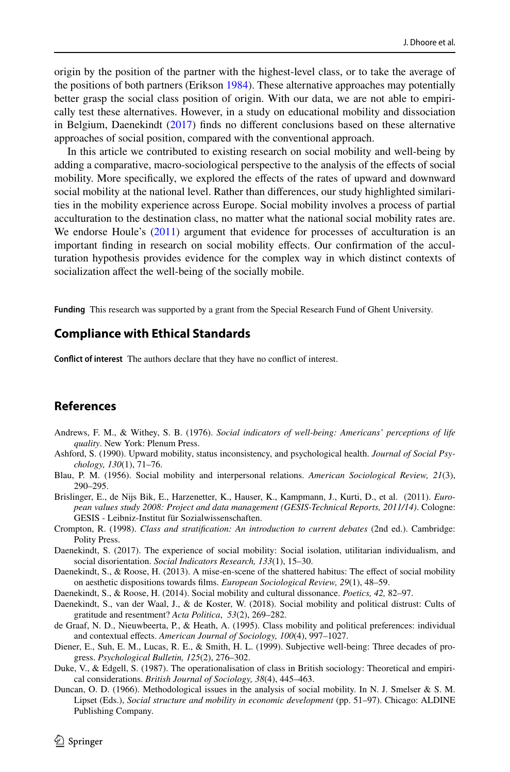origin by the position of the partner with the highest-level class, or to take the average of the positions of both partners (Erikson [1984\)](#page-14-29). These alternative approaches may potentially better grasp the social class position of origin. With our data, we are not able to empirically test these alternatives. However, in a study on educational mobility and dissociation in Belgium, Daenekindt ([2017\)](#page-13-1) fnds no diferent conclusions based on these alternative approaches of social position, compared with the conventional approach.

In this article we contributed to existing research on social mobility and well-being by adding a comparative, macro-sociological perspective to the analysis of the efects of social mobility. More specifcally, we explored the efects of the rates of upward and downward social mobility at the national level. Rather than diferences, our study highlighted similarities in the mobility experience across Europe. Social mobility involves a process of partial acculturation to the destination class, no matter what the national social mobility rates are. We endorse Houle's ([2011\)](#page-14-5) argument that evidence for processes of acculturation is an important fnding in research on social mobility efects. Our confrmation of the acculturation hypothesis provides evidence for the complex way in which distinct contexts of socialization affect the well-being of the socially mobile.

**Funding** This research was supported by a grant from the Special Research Fund of Ghent University.

### **Compliance with Ethical Standards**

**Confict of interest** The authors declare that they have no confict of interest.

### **References**

- <span id="page-13-9"></span>Andrews, F. M., & Withey, S. B. (1976). *Social indicators of well-being: Americans' perceptions of life quality*. New York: Plenum Press.
- <span id="page-13-3"></span>Ashford, S. (1990). Upward mobility, status inconsistency, and psychological health. *Journal of Social Psychology, 130*(1), 71–76.
- <span id="page-13-2"></span>Blau, P. M. (1956). Social mobility and interpersonal relations. *American Sociological Review, 21*(3), 290–295.
- <span id="page-13-8"></span>Brislinger, E., de Nijs Bik, E., Harzenetter, K., Hauser, K., Kampmann, J., Kurti, D., et al. (2011). *European values study 2008: Project and data management (GESIS-Technical Reports, 2011/14)*. Cologne: GESIS - Leibniz-Institut für Sozialwissenschaften.
- <span id="page-13-10"></span>Crompton, R. (1998). *Class and stratifcation: An introduction to current debates* (2nd ed.). Cambridge: Polity Press.
- <span id="page-13-1"></span>Daenekindt, S. (2017). The experience of social mobility: Social isolation, utilitarian individualism, and social disorientation. *Social Indicators Research, 133*(1), 15–30.
- <span id="page-13-5"></span>Daenekindt, S., & Roose, H. (2013). A mise-en-scene of the shattered habitus: The effect of social mobility on aesthetic dispositions towards flms. *European Sociological Review, 29*(1), 48–59.
- <span id="page-13-6"></span>Daenekindt, S., & Roose, H. (2014). Social mobility and cultural dissonance. *Poetics, 42,* 82–97.
- <span id="page-13-4"></span>Daenekindt, S., van der Waal, J., & de Koster, W. (2018). Social mobility and political distrust: Cults of gratitude and resentment? *Acta Politica*, *53*(2), 269–282.
- <span id="page-13-7"></span>de Graaf, N. D., Nieuwbeerta, P., & Heath, A. (1995). Class mobility and political preferences: individual and contextual efects. *American Journal of Sociology, 100*(4), 997–1027.
- <span id="page-13-0"></span>Diener, E., Suh, E. M., Lucas, R. E., & Smith, H. L. (1999). Subjective well-being: Three decades of progress. *Psychological Bulletin, 125*(2), 276–302.
- <span id="page-13-11"></span>Duke, V., & Edgell, S. (1987). The operationalisation of class in British sociology: Theoretical and empirical considerations. *British Journal of Sociology, 38*(4), 445–463.
- <span id="page-13-12"></span>Duncan, O. D. (1966). Methodological issues in the analysis of social mobility. In N. J. Smelser & S. M. Lipset (Eds.), *Social structure and mobility in economic development* (pp. 51–97). Chicago: ALDINE Publishing Company.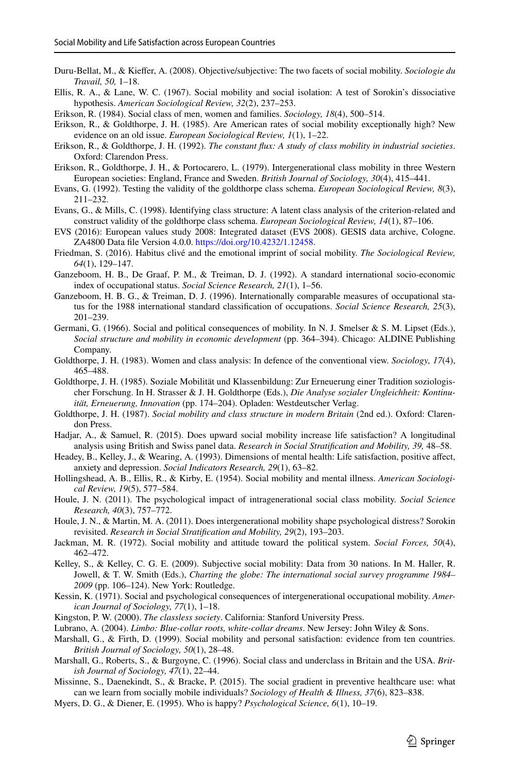- <span id="page-14-27"></span>Duru-Bellat, M., & Kiefer, A. (2008). Objective/subjective: The two facets of social mobility. *Sociologie du Travail, 50,* 1–18.
- <span id="page-14-2"></span>Ellis, R. A., & Lane, W. C. (1967). Social mobility and social isolation: A test of Sorokin's dissociative hypothesis. *American Sociological Review, 32*(2), 237–253.
- <span id="page-14-29"></span>Erikson, R. (1984). Social class of men, women and families. *Sociology, 18*(4), 500–514.
- <span id="page-14-18"></span>Erikson, R., & Goldthorpe, J. H. (1985). Are American rates of social mobility exceptionally high? New evidence on an old issue. *European Sociological Review, 1*(1), 1–22.
- <span id="page-14-17"></span>Erikson, R., & Goldthorpe, J. H. (1992). *The constant fux: A study of class mobility in industrial societies*. Oxford: Clarendon Press.
- <span id="page-14-22"></span>Erikson, R., Goldthorpe, J. H., & Portocarero, L. (1979). Intergenerational class mobility in three Western European societies: England, France and Sweden. *British Journal of Sociology, 30*(4), 415–441.
- <span id="page-14-23"></span>Evans, G. (1992). Testing the validity of the goldthorpe class schema. *European Sociological Review, 8*(3), 211–232.
- <span id="page-14-24"></span>Evans, G., & Mills, C. (1998). Identifying class structure: A latent class analysis of the criterion-related and construct validity of the goldthorpe class schema. *European Sociological Review, 14*(1), 87–106.
- <span id="page-14-20"></span>EVS (2016): European values study 2008: Integrated dataset (EVS 2008). GESIS data archive, Cologne. ZA4800 Data fle Version 4.0.0. <https://doi.org/10.4232/1.12458>.
- <span id="page-14-13"></span>Friedman, S. (2016). Habitus clivé and the emotional imprint of social mobility. *The Sociological Review, 64*(1), 129–147.
- <span id="page-14-16"></span>Ganzeboom, H. B., De Graaf, P. M., & Treiman, D. J. (1992). A standard international socio-economic index of occupational status. *Social Science Research, 21*(1), 1–56.
- <span id="page-14-25"></span>Ganzeboom, H. B. G., & Treiman, D. J. (1996). Internationally comparable measures of occupational status for the 1988 international standard classifcation of occupations. *Social Science Research, 25*(3), 201–239.
- <span id="page-14-7"></span>Germani, G. (1966). Social and political consequences of mobility. In N. J. Smelser & S. M. Lipset (Eds.), *Social structure and mobility in economic development* (pp. 364–394). Chicago: ALDINE Publishing Company.
- <span id="page-14-21"></span>Goldthorpe, J. H. (1983). Women and class analysis: In defence of the conventional view. *Sociology, 17*(4), 465–488.
- <span id="page-14-15"></span>Goldthorpe, J. H. (1985). Soziale Mobilität und Klassenbildung: Zur Erneuerung einer Tradition soziologischer Forschung. In H. Strasser & J. H. Goldthorpe (Eds.), *Die Analyse sozialer Ungleichheit: Kontinuität, Erneuerung, Innovation* (pp. 174–204). Opladen: Westdeutscher Verlag.
- <span id="page-14-8"></span>Goldthorpe, J. H. (1987). *Social mobility and class structure in modern Britain* (2nd ed.). Oxford: Clarendon Press.
- <span id="page-14-4"></span>Hadjar, A., & Samuel, R. (2015). Does upward social mobility increase life satisfaction? A longitudinal analysis using British and Swiss panel data. *Research in Social Stratifcation and Mobility, 39,* 48–58.
- <span id="page-14-3"></span>Headey, B., Kelley, J., & Wearing, A. (1993). Dimensions of mental health: Life satisfaction, positive afect, anxiety and depression. *Social Indicators Research, 29*(1), 63–82.
- <span id="page-14-11"></span>Hollingshead, A. B., Ellis, R., & Kirby, E. (1954). Social mobility and mental illness. *American Sociological Review, 19*(5), 577–584.
- <span id="page-14-5"></span>Houle, J. N. (2011). The psychological impact of intragenerational social class mobility. *Social Science Research, 40*(3), 757–772.
- <span id="page-14-6"></span>Houle, J. N., & Martin, M. A. (2011). Does intergenerational mobility shape psychological distress? Sorokin revisited. *Research in Social Stratifcation and Mobility, 29*(2), 193–203.
- <span id="page-14-10"></span>Jackman, M. R. (1972). Social mobility and attitude toward the political system. *Social Forces, 50*(4), 462–472.
- <span id="page-14-28"></span>Kelley, S., & Kelley, C. G. E. (2009). Subjective social mobility: Data from 30 nations. In M. Haller, R. Jowell, & T. W. Smith (Eds.), *Charting the globe: The international social survey programme 1984– 2009* (pp. 106–124). New York: Routledge.
- <span id="page-14-9"></span>Kessin, K. (1971). Social and psychological consequences of intergenerational occupational mobility. *American Journal of Sociology, 77*(1), 1–18.
- <span id="page-14-19"></span>Kingston, P. W. (2000). *The classless society*. California: Stanford University Press.
- <span id="page-14-14"></span>Lubrano, A. (2004). *Limbo: Blue-collar roots, white-collar dreams*. New Jersey: John Wiley & Sons.
- <span id="page-14-0"></span>Marshall, G., & Firth, D. (1999). Social mobility and personal satisfaction: evidence from ten countries. *British Journal of Sociology, 50*(1), 28–48.
- <span id="page-14-26"></span>Marshall, G., Roberts, S., & Burgoyne, C. (1996). Social class and underclass in Britain and the USA. *British Journal of Sociology, 47*(1), 22–44.
- <span id="page-14-12"></span>Missinne, S., Daenekindt, S., & Bracke, P. (2015). The social gradient in preventive healthcare use: what can we learn from socially mobile individuals? *Sociology of Health & Illness, 37*(6), 823–838.
- <span id="page-14-1"></span>Myers, D. G., & Diener, E. (1995). Who is happy? *Psychological Science, 6*(1), 10–19.